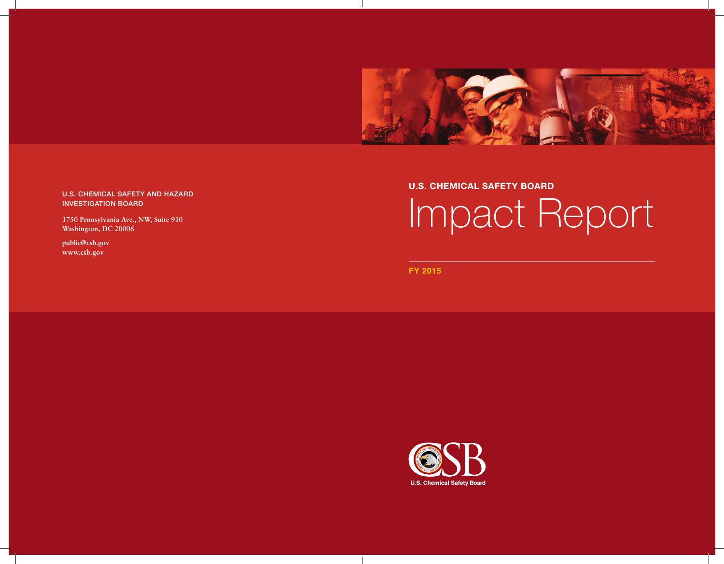

## U.S. CHEMICAL SAFETY AND HAZARD INVESTIGATION BOARD

**1750 Pennsylvania Ave., NW, Suite 910 Washington, DC 20006**

**public@csb.gov www.csb.gov**

## **U.S. CHEMICAL SAFETY BOARD**

# Impact Report

**FY 2015**



 $\overline{\phantom{a}}$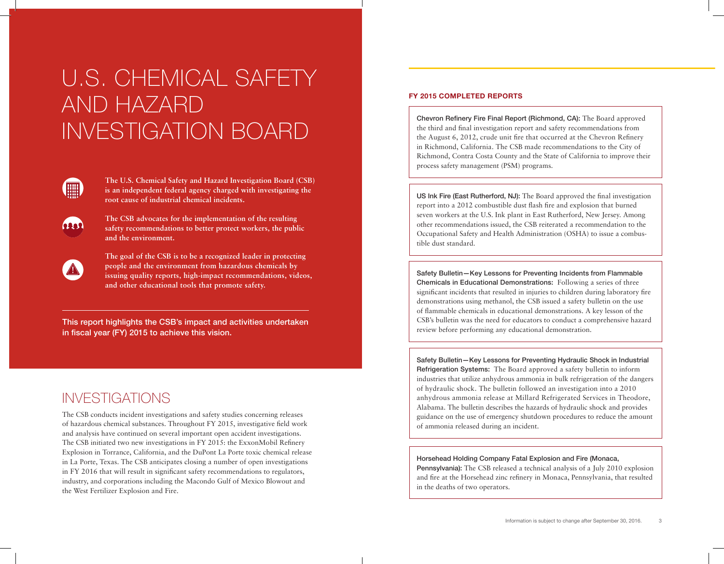## U.S. CHEMICAL SAFETY AND HAZARD INVESTIGATION BOARD



am

**The U.S. Chemical Safety and Hazard Investigation Board (CSB) is an independent federal agency charged with investigating the root cause of industrial chemical incidents.** 

**The CSB advocates for the implementation of the resulting safety recommendations to better protect workers, the public and the environment.** 

**The goal of the CSB is to be a recognized leader in protecting people and the environment from hazardous chemicals by issuing quality reports, high-impact recommendations, videos, and other educational tools that promote safety.**

This report highlights the CSB's impact and activities undertaken in fiscal year (FY) 2015 to achieve this vision.

## INVESTIGATIONS

The CSB conducts incident investigations and safety studies concerning releases of hazardous chemical substances. Throughout FY 2015, investigative field work and analysis have continued on several important open accident investigations. The CSB initiated two new investigations in FY 2015: the ExxonMobil Refinery Explosion in Torrance, California, and the DuPont La Porte toxic chemical release in La Porte, Texas. The CSB anticipates closing a number of open investigations in FY 2016 that will result in significant safety recommendations to regulators, industry, and corporations including the Macondo Gulf of Mexico Blowout and the West Fertilizer Explosion and Fire.

## **FY 2015 COMPLETED REPORTS**

Chevron Refinery Fire Final Report (Richmond, CA): The Board approved the third and final investigation report and safety recommendations from the August 6, 2012, crude unit fire that occurred at the Chevron Refinery in Richmond, California. The CSB made recommendations to the City of Richmond, Contra Costa County and the State of California to improve their process safety management (PSM) programs.

US Ink Fire (East Rutherford, NJ): The Board approved the final investigation report into a 2012 combustible dust flash fire and explosion that burned seven workers at the U.S. Ink plant in East Rutherford, New Jersey. Among other recommendations issued, the CSB reiterated a recommendation to the Occupational Safety and Health Administration (OSHA) to issue a combustible dust standard.

Safety Bulletin—Key Lessons for Preventing Incidents from Flammable Chemicals in Educational Demonstrations: Following a series of three significant incidents that resulted in injuries to children during laboratory fire demonstrations using methanol, the CSB issued a safety bulletin on the use of flammable chemicals in educational demonstrations. A key lesson of the CSB's bulletin was the need for educators to conduct a comprehensive hazard review before performing any educational demonstration.

Safety Bulletin—Key Lessons for Preventing Hydraulic Shock in Industrial Refrigeration Systems: The Board approved a safety bulletin to inform industries that utilize anhydrous ammonia in bulk refrigeration of the dangers of hydraulic shock. The bulletin followed an investigation into a 2010 anhydrous ammonia release at Millard Refrigerated Services in Theodore, Alabama. The bulletin describes the hazards of hydraulic shock and provides guidance on the use of emergency shutdown procedures to reduce the amount of ammonia released during an incident.

#### Horsehead Holding Company Fatal Explosion and Fire (Monaca,

Pennsylvania): The CSB released a technical analysis of a July 2010 explosion and fire at the Horsehead zinc refinery in Monaca, Pennsylvania, that resulted in the deaths of two operators.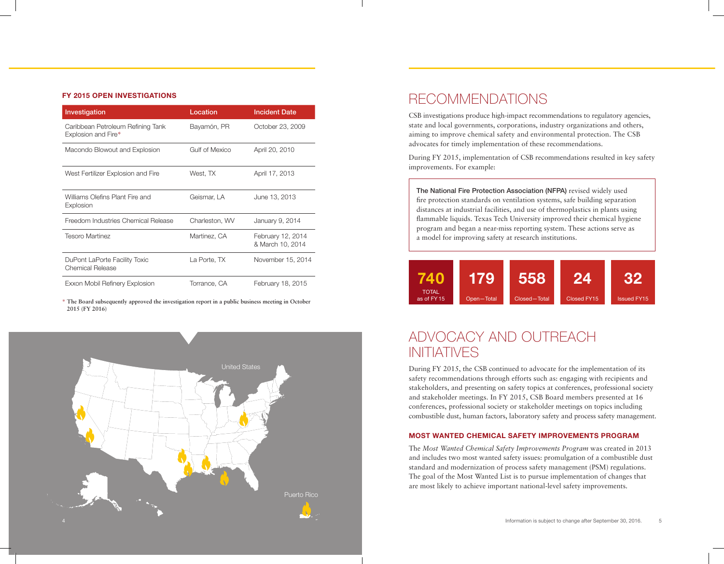#### **FY 2015 OPEN INVESTIGATIONS**

| Investigation                                            | Location       | <b>Incident Date</b>                  |
|----------------------------------------------------------|----------------|---------------------------------------|
| Caribbean Petroleum Refining Tank<br>Explosion and Fire* | Bayamón, PR    | October 23, 2009                      |
| Macondo Blowout and Explosion                            | Gulf of Mexico | April 20, 2010                        |
| West Fertilizer Explosion and Fire                       | West, TX       | April 17, 2013                        |
| Williams Olefins Plant Fire and<br>Explosion             | Geismar, LA    | June 13, 2013                         |
| Freedom Industries Chemical Release                      | Charleston, WV | January 9, 2014                       |
| <b>Tesoro Martinez</b>                                   | Martinez, CA   | February 12, 2014<br>& March 10, 2014 |
| DuPont LaPorte Facility Toxic<br>Chemical Release        | La Porte, TX   | November 15, 2014                     |
| Exxon Mobil Refinery Explosion                           | Torrance, CA   | February 18, 2015                     |

**\* The Board subsequently approved the investigation report in a public business meeting in October 2015 (FY 2016)**



## RECOMMENDATIONS

CSB investigations produce high-impact recommendations to regulatory agencies, state and local governments, corporations, industry organizations and others, aiming to improve chemical safety and environmental protection. The CSB advocates for timely implementation of these recommendations.

During FY 2015, implementation of CSB recommendations resulted in key safety improvements. For example:

The National Fire Protection Association (NFPA) revised widely used fire protection standards on ventilation systems, safe building separation distances at industrial facilities, and use of thermoplastics in plants using flammable liquids. Texas Tech University improved their chemical hygiene program and began a near-miss reporting system. These actions serve as a model for improving safety at research institutions.



## ADVOCACY AND OUTREACH INITIATIVES

During FY 2015, the CSB continued to advocate for the implementation of its safety recommendations through efforts such as: engaging with recipients and stakeholders, and presenting on safety topics at conferences, professional society and stakeholder meetings. In FY 2015, CSB Board members presented at 16 conferences, professional society or stakeholder meetings on topics including combustible dust, human factors, laboratory safety and process safety management.

#### **MOST WANTED CHEMICAL SAFETY IMPROVEMENTS PROGRAM**

The *Most Wanted Chemical Safety Improvements Program* was created in 2013 and includes two most wanted safety issues: promulgation of a combustible dust standard and modernization of process safety management (PSM) regulations. The goal of the Most Wanted List is to pursue implementation of changes that are most likely to achieve important national-level safety improvements.